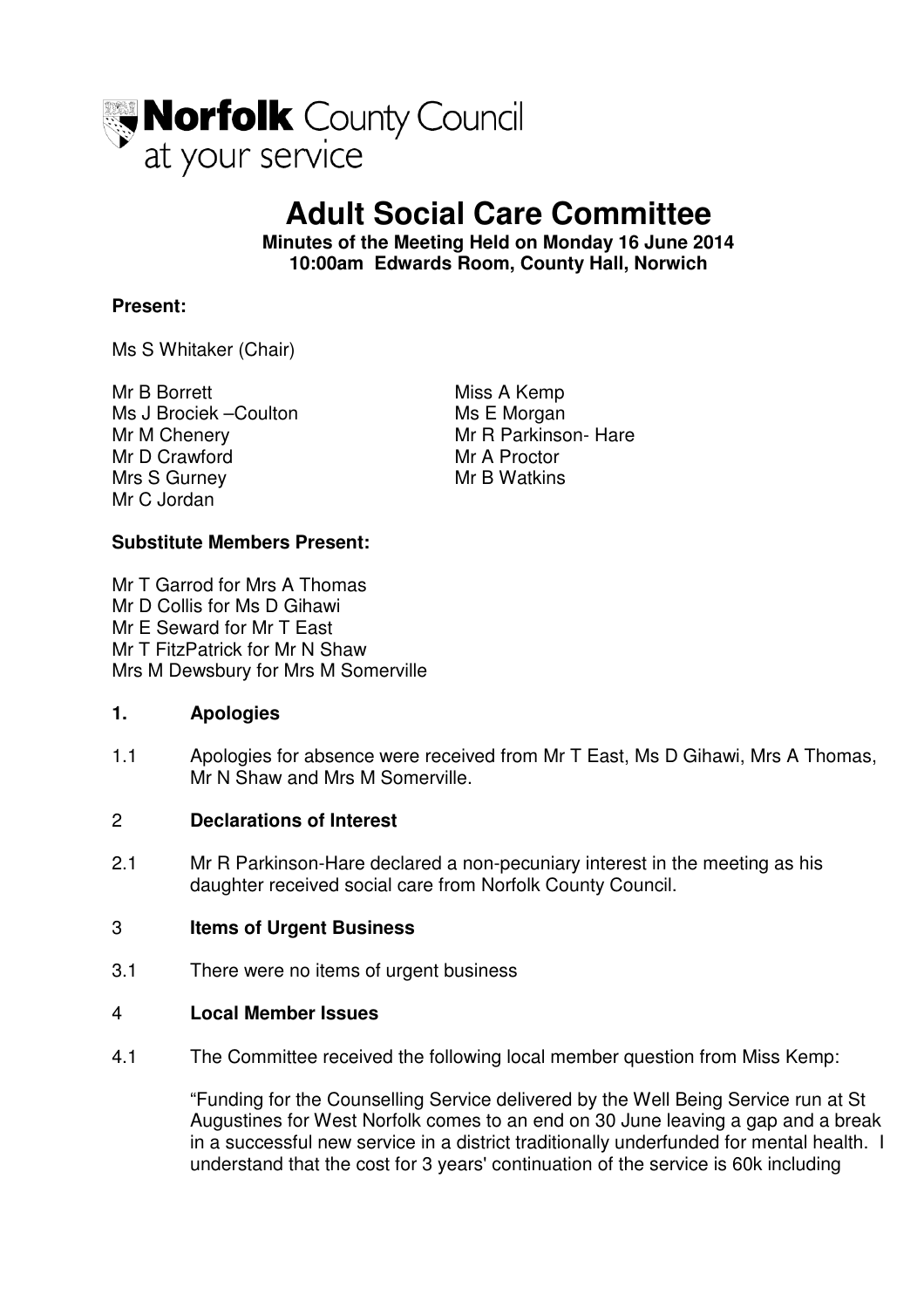

# **Adult Social Care Committee**

**Minutes of the Meeting Held on Monday 16 June 2014 10:00am Edwards Room, County Hall, Norwich** 

## **Present:**

Ms S Whitaker (Chair)

Mr B Borrett Miss A Kemp Ms J Brociek –Coulton Ms E Morgan Mr M Chenery **Mr R Parkinson- Hare** Mr D Crawford Mr A Proctor Mrs S Gurney Mr B Watkins Mr C Jordan

#### **Substitute Members Present:**

Mr T Garrod for Mrs A Thomas Mr D Collis for Ms D Gihawi Mr E Seward for Mr T East Mr T FitzPatrick for Mr N Shaw Mrs M Dewsbury for Mrs M Somerville

#### **1. Apologies**

1.1 Apologies for absence were received from Mr T East, Ms D Gihawi, Mrs A Thomas, Mr N Shaw and Mrs M Somerville.

#### 2 **Declarations of Interest**

2.1 Mr R Parkinson-Hare declared a non-pecuniary interest in the meeting as his daughter received social care from Norfolk County Council.

#### 3 **Items of Urgent Business**

3.1 There were no items of urgent business

#### 4 **Local Member Issues**

4.1 The Committee received the following local member question from Miss Kemp:

"Funding for the Counselling Service delivered by the Well Being Service run at St Augustines for West Norfolk comes to an end on 30 June leaving a gap and a break in a successful new service in a district traditionally underfunded for mental health. I understand that the cost for 3 years' continuation of the service is 60k including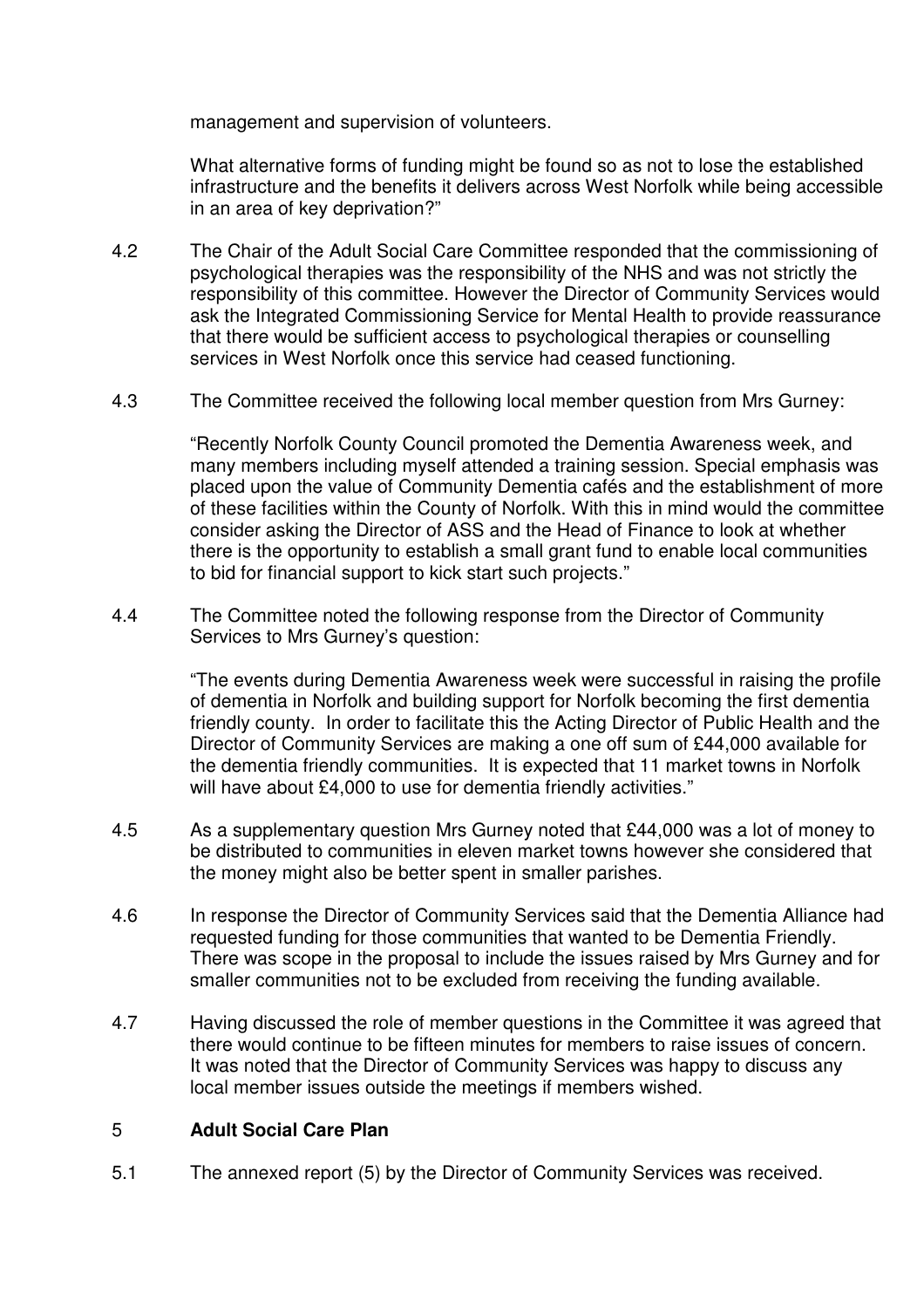management and supervision of volunteers.

What alternative forms of funding might be found so as not to lose the established infrastructure and the benefits it delivers across West Norfolk while being accessible in an area of key deprivation?"

- 4.2 The Chair of the Adult Social Care Committee responded that the commissioning of psychological therapies was the responsibility of the NHS and was not strictly the responsibility of this committee. However the Director of Community Services would ask the Integrated Commissioning Service for Mental Health to provide reassurance that there would be sufficient access to psychological therapies or counselling services in West Norfolk once this service had ceased functioning.
- 4.3 The Committee received the following local member question from Mrs Gurney:

 "Recently Norfolk County Council promoted the Dementia Awareness week, and many members including myself attended a training session. Special emphasis was placed upon the value of Community Dementia cafés and the establishment of more of these facilities within the County of Norfolk. With this in mind would the committee consider asking the Director of ASS and the Head of Finance to look at whether there is the opportunity to establish a small grant fund to enable local communities to bid for financial support to kick start such projects."

4.4 The Committee noted the following response from the Director of Community Services to Mrs Gurney's question:

> "The events during Dementia Awareness week were successful in raising the profile of dementia in Norfolk and building support for Norfolk becoming the first dementia friendly county. In order to facilitate this the Acting Director of Public Health and the Director of Community Services are making a one off sum of £44,000 available for the dementia friendly communities. It is expected that 11 market towns in Norfolk will have about £4,000 to use for dementia friendly activities."

- 4.5 As a supplementary question Mrs Gurney noted that £44,000 was a lot of money to be distributed to communities in eleven market towns however she considered that the money might also be better spent in smaller parishes.
- 4.6 In response the Director of Community Services said that the Dementia Alliance had requested funding for those communities that wanted to be Dementia Friendly. There was scope in the proposal to include the issues raised by Mrs Gurney and for smaller communities not to be excluded from receiving the funding available.
- 4.7 Having discussed the role of member questions in the Committee it was agreed that there would continue to be fifteen minutes for members to raise issues of concern. It was noted that the Director of Community Services was happy to discuss any local member issues outside the meetings if members wished.

### 5 **Adult Social Care Plan**

5.1 The annexed report (5) by the Director of Community Services was received.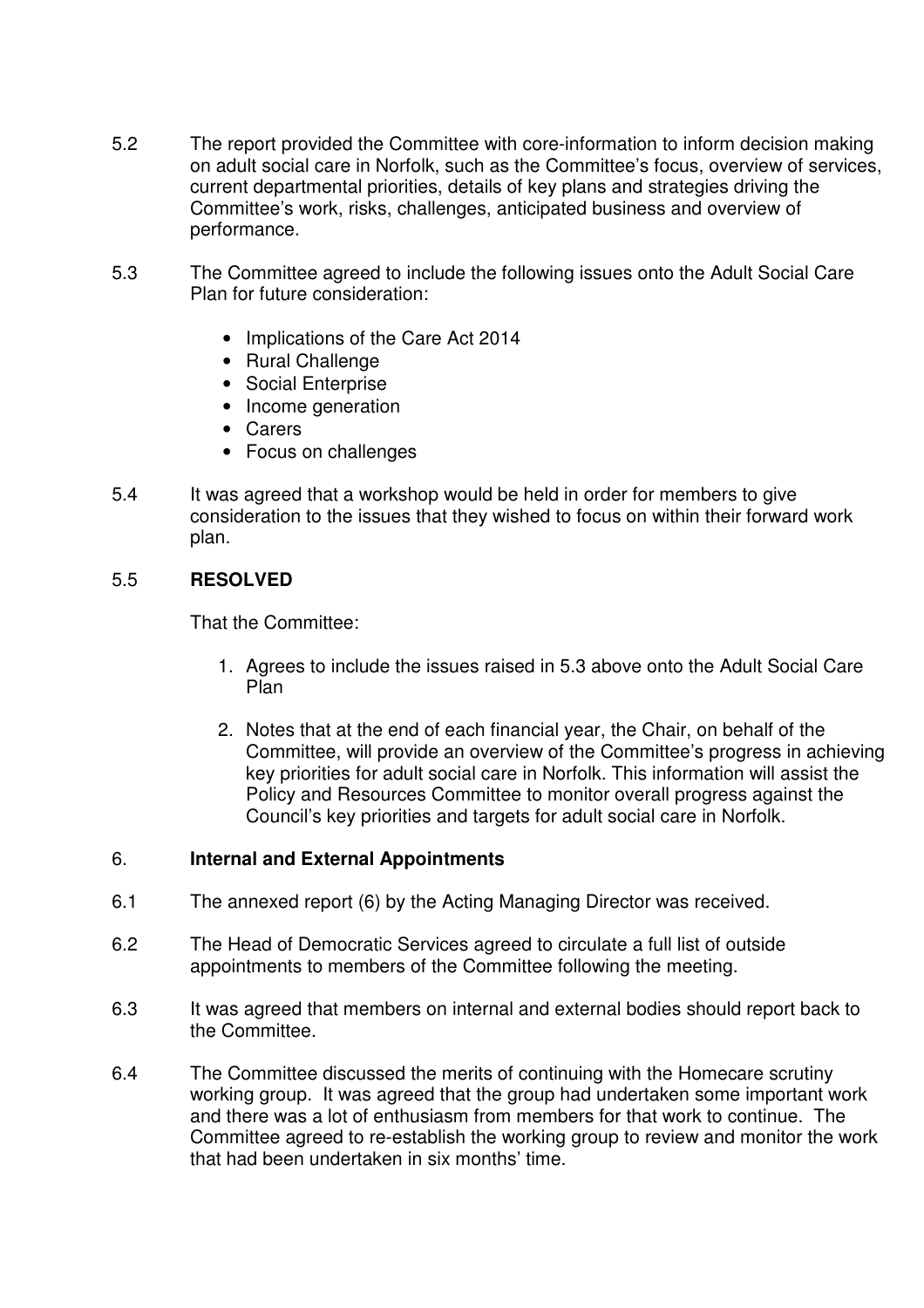- 5.2 The report provided the Committee with core-information to inform decision making on adult social care in Norfolk, such as the Committee's focus, overview of services, current departmental priorities, details of key plans and strategies driving the Committee's work, risks, challenges, anticipated business and overview of performance.
- 5.3 The Committee agreed to include the following issues onto the Adult Social Care Plan for future consideration:
	- Implications of the Care Act 2014
	- Rural Challenge
	- Social Enterprise
	- Income generation
	- Carers
	- Focus on challenges
- 5.4 It was agreed that a workshop would be held in order for members to give consideration to the issues that they wished to focus on within their forward work plan.

## 5.5 **RESOLVED**

That the Committee:

- 1. Agrees to include the issues raised in 5.3 above onto the Adult Social Care Plan
- 2. Notes that at the end of each financial year, the Chair, on behalf of the Committee, will provide an overview of the Committee's progress in achieving key priorities for adult social care in Norfolk. This information will assist the Policy and Resources Committee to monitor overall progress against the Council's key priorities and targets for adult social care in Norfolk.

#### 6. **Internal and External Appointments**

- 6.1 The annexed report (6) by the Acting Managing Director was received.
- 6.2 The Head of Democratic Services agreed to circulate a full list of outside appointments to members of the Committee following the meeting.
- 6.3 It was agreed that members on internal and external bodies should report back to the Committee.
- 6.4 The Committee discussed the merits of continuing with the Homecare scrutiny working group. It was agreed that the group had undertaken some important work and there was a lot of enthusiasm from members for that work to continue. The Committee agreed to re-establish the working group to review and monitor the work that had been undertaken in six months' time.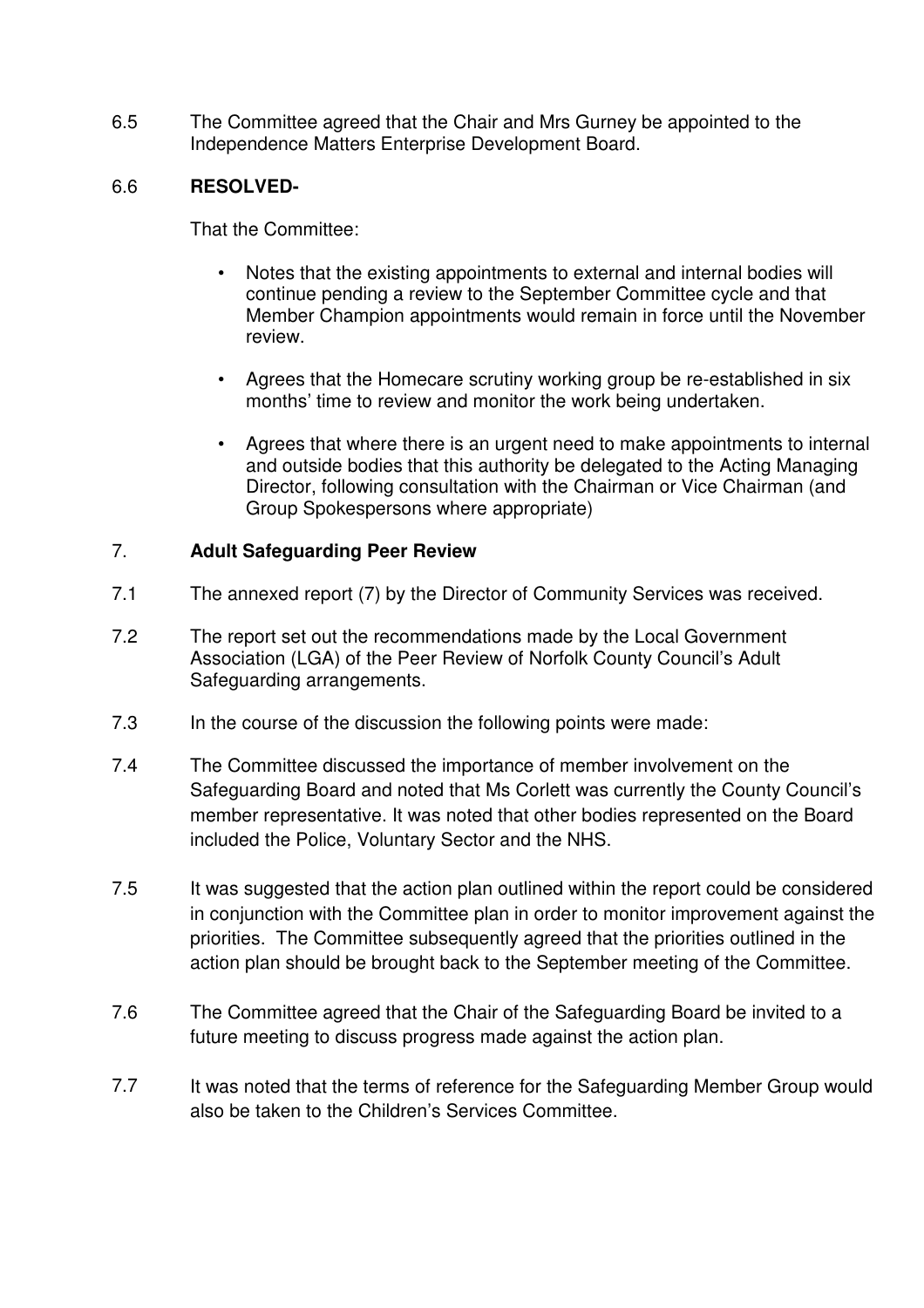6.5 The Committee agreed that the Chair and Mrs Gurney be appointed to the Independence Matters Enterprise Development Board.

# 6.6 **RESOLVED-**

That the Committee:

- Notes that the existing appointments to external and internal bodies will continue pending a review to the September Committee cycle and that Member Champion appointments would remain in force until the November review.
- Agrees that the Homecare scrutiny working group be re-established in six months' time to review and monitor the work being undertaken.
- Agrees that where there is an urgent need to make appointments to internal and outside bodies that this authority be delegated to the Acting Managing Director, following consultation with the Chairman or Vice Chairman (and Group Spokespersons where appropriate)

## 7. **Adult Safeguarding Peer Review**

- 7.1 The annexed report (7) by the Director of Community Services was received.
- 7.2 The report set out the recommendations made by the Local Government Association (LGA) of the Peer Review of Norfolk County Council's Adult Safeguarding arrangements.
- 7.3 In the course of the discussion the following points were made:
- 7.4 The Committee discussed the importance of member involvement on the Safeguarding Board and noted that Ms Corlett was currently the County Council's member representative. It was noted that other bodies represented on the Board included the Police, Voluntary Sector and the NHS.
- 7.5 It was suggested that the action plan outlined within the report could be considered in conjunction with the Committee plan in order to monitor improvement against the priorities. The Committee subsequently agreed that the priorities outlined in the action plan should be brought back to the September meeting of the Committee.
- 7.6 The Committee agreed that the Chair of the Safeguarding Board be invited to a future meeting to discuss progress made against the action plan.
- 7.7 It was noted that the terms of reference for the Safeguarding Member Group would also be taken to the Children's Services Committee.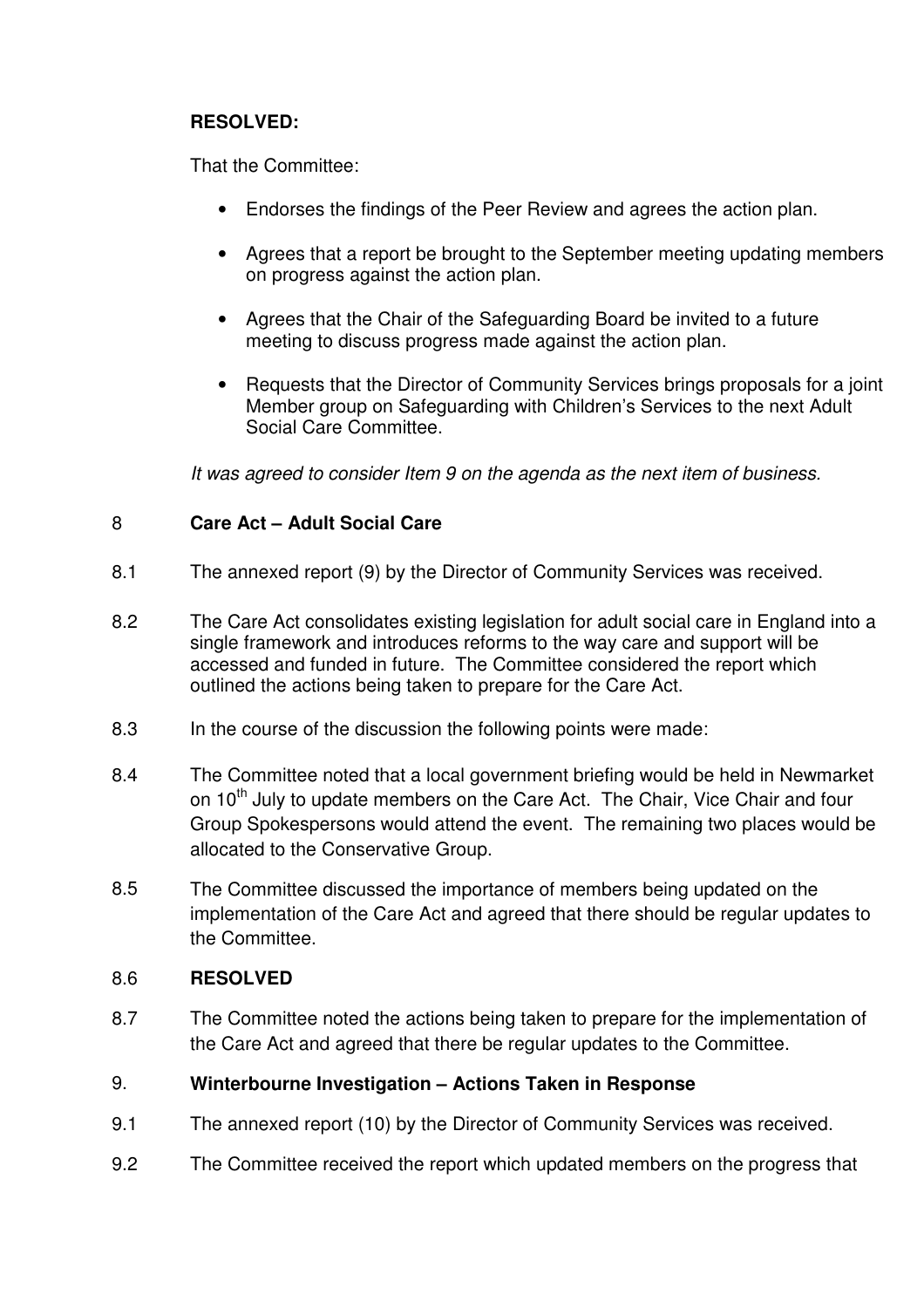# **RESOLVED:**

That the Committee:

- Endorses the findings of the Peer Review and agrees the action plan.
- Agrees that a report be brought to the September meeting updating members on progress against the action plan.
- Agrees that the Chair of the Safeguarding Board be invited to a future meeting to discuss progress made against the action plan.
- Requests that the Director of Community Services brings proposals for a joint Member group on Safeguarding with Children's Services to the next Adult Social Care Committee.

It was agreed to consider Item 9 on the agenda as the next item of business.

# 8 **Care Act – Adult Social Care**

- 8.1 The annexed report (9) by the Director of Community Services was received.
- 8.2 The Care Act consolidates existing legislation for adult social care in England into a single framework and introduces reforms to the way care and support will be accessed and funded in future. The Committee considered the report which outlined the actions being taken to prepare for the Care Act.
- 8.3 In the course of the discussion the following points were made:
- 8.4 The Committee noted that a local government briefing would be held in Newmarket on 10<sup>th</sup> July to update members on the Care Act. The Chair, Vice Chair and four Group Spokespersons would attend the event. The remaining two places would be allocated to the Conservative Group.
- 8.5 The Committee discussed the importance of members being updated on the implementation of the Care Act and agreed that there should be regular updates to the Committee.

# 8.6 **RESOLVED**

8.7 The Committee noted the actions being taken to prepare for the implementation of the Care Act and agreed that there be regular updates to the Committee.

# 9. **Winterbourne Investigation – Actions Taken in Response**

- 9.1 The annexed report (10) by the Director of Community Services was received.
- 9.2 The Committee received the report which updated members on the progress that